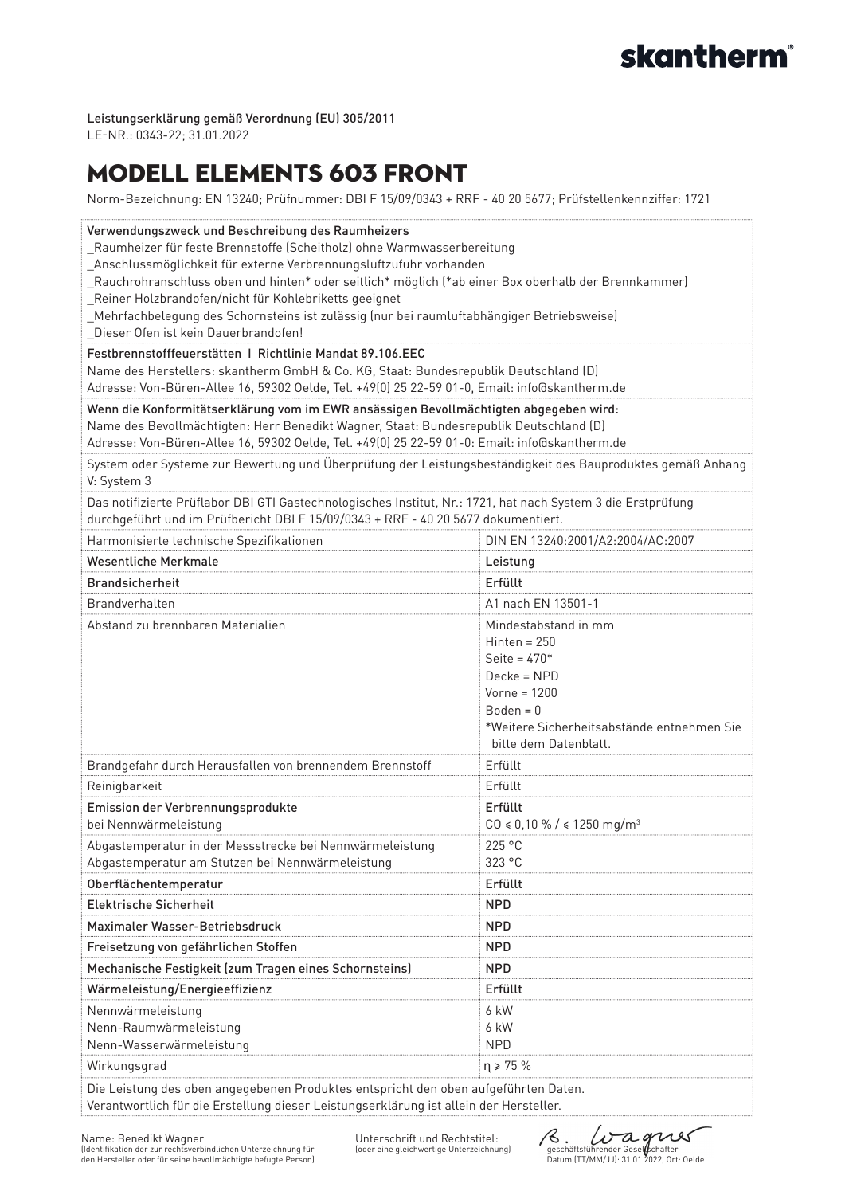#### Leistungserklärung gemäß Verordnung (EU) 305/2011

LE-NR.: 0343-22; 31.01.2022

# Modell elements 603 Front

Norm-Bezeichnung: EN 13240; Prüfnummer: DBI F 15/09/0343 + RRF - 40 20 5677; Prüfstellenkennziffer: 1721

| Verwendungszweck und Beschreibung des Raumheizers<br>_Raumheizer für feste Brennstoffe (Scheitholz) ohne Warmwasserbereitung<br>Anschlussmöglichkeit für externe Verbrennungsluftzufuhr vorhanden<br>[Rauchrohranschluss oben und hinten* oder seitlich* möglich (*ab einer Box oberhalb der Brennkammer_<br>Reiner Holzbrandofen/nicht für Kohlebriketts geeignet<br>Mehrfachbelegung des Schornsteins ist zulässig (nur bei raumluftabhängiger Betriebsweise)<br>Dieser Ofen ist kein Dauerbrandofen!<br>Festbrennstofffeuerstätten   Richtlinie Mandat 89.106.EEC<br>Name des Herstellers: skantherm GmbH & Co. KG, Staat: Bundesrepublik Deutschland (D)<br>Adresse: Von-Büren-Allee 16, 59302 Oelde, Tel. +49(0) 25 22-59 01-0, Email: info@skantherm.de<br>Wenn die Konformitätserklärung vom im EWR ansässigen Bevollmächtigten abgegeben wird:<br>Name des Bevollmächtigten: Herr Benedikt Wagner, Staat: Bundesrepublik Deutschland (D) |                                                                                                                                                                                  |  |
|--------------------------------------------------------------------------------------------------------------------------------------------------------------------------------------------------------------------------------------------------------------------------------------------------------------------------------------------------------------------------------------------------------------------------------------------------------------------------------------------------------------------------------------------------------------------------------------------------------------------------------------------------------------------------------------------------------------------------------------------------------------------------------------------------------------------------------------------------------------------------------------------------------------------------------------------------|----------------------------------------------------------------------------------------------------------------------------------------------------------------------------------|--|
| Adresse: Von-Büren-Allee 16, 59302 Oelde, Tel. +49(0) 25 22-59 01-0: Email: info@skantherm.de<br>System oder Systeme zur Bewertung und Überprüfung der Leistungsbeständigkeit des Bauproduktes gemäß Anhang<br>V: System 3                                                                                                                                                                                                                                                                                                                                                                                                                                                                                                                                                                                                                                                                                                                       |                                                                                                                                                                                  |  |
| Das notifizierte Prüflabor DBI GTI Gastechnologisches Institut, Nr.: 1721, hat nach System 3 die Erstprüfung<br>durchgeführt und im Prüfbericht DBI F 15/09/0343 + RRF - 40 20 5677 dokumentiert.                                                                                                                                                                                                                                                                                                                                                                                                                                                                                                                                                                                                                                                                                                                                                |                                                                                                                                                                                  |  |
| Harmonisierte technische Spezifikationen                                                                                                                                                                                                                                                                                                                                                                                                                                                                                                                                                                                                                                                                                                                                                                                                                                                                                                         | DIN EN 13240:2001/A2:2004/AC:2007                                                                                                                                                |  |
| <b>Wesentliche Merkmale</b>                                                                                                                                                                                                                                                                                                                                                                                                                                                                                                                                                                                                                                                                                                                                                                                                                                                                                                                      | Leistung                                                                                                                                                                         |  |
| <b>Brandsicherheit</b>                                                                                                                                                                                                                                                                                                                                                                                                                                                                                                                                                                                                                                                                                                                                                                                                                                                                                                                           | Erfüllt                                                                                                                                                                          |  |
| Brandverhalten                                                                                                                                                                                                                                                                                                                                                                                                                                                                                                                                                                                                                                                                                                                                                                                                                                                                                                                                   | A1 nach EN 13501-1                                                                                                                                                               |  |
| Abstand zu brennbaren Materialien                                                                                                                                                                                                                                                                                                                                                                                                                                                                                                                                                                                                                                                                                                                                                                                                                                                                                                                | Mindestabstand in mm<br>Hinten = $250$<br>Seite = $470*$<br>Decke = NPD<br>$V$ orne = 1200<br>$Boden = 0$<br>*Weitere Sicherheitsabstände entnehmen Sie<br>bitte dem Datenblatt. |  |
| Brandgefahr durch Herausfallen von brennendem Brennstoff                                                                                                                                                                                                                                                                                                                                                                                                                                                                                                                                                                                                                                                                                                                                                                                                                                                                                         | Erfüllt                                                                                                                                                                          |  |
| Reinigbarkeit                                                                                                                                                                                                                                                                                                                                                                                                                                                                                                                                                                                                                                                                                                                                                                                                                                                                                                                                    | Erfüllt                                                                                                                                                                          |  |
| Emission der Verbrennungsprodukte<br>bei Nennwärmeleistung                                                                                                                                                                                                                                                                                                                                                                                                                                                                                                                                                                                                                                                                                                                                                                                                                                                                                       | Erfüllt<br>$CO \le 0,10\% / \le 1250$ mg/m <sup>3</sup>                                                                                                                          |  |
| Abgastemperatur in der Messstrecke bei Nennwärmeleistung                                                                                                                                                                                                                                                                                                                                                                                                                                                                                                                                                                                                                                                                                                                                                                                                                                                                                         | 225 °C                                                                                                                                                                           |  |
| Abgastemperatur am Stutzen bei Nennwärmeleistung                                                                                                                                                                                                                                                                                                                                                                                                                                                                                                                                                                                                                                                                                                                                                                                                                                                                                                 | 323 °C                                                                                                                                                                           |  |
| Oberflächentemperatur                                                                                                                                                                                                                                                                                                                                                                                                                                                                                                                                                                                                                                                                                                                                                                                                                                                                                                                            | Erfüllt                                                                                                                                                                          |  |
| <b>Elektrische Sicherheit</b>                                                                                                                                                                                                                                                                                                                                                                                                                                                                                                                                                                                                                                                                                                                                                                                                                                                                                                                    | <b>NPD</b>                                                                                                                                                                       |  |
| Maximaler Wasser-Betriebsdruck                                                                                                                                                                                                                                                                                                                                                                                                                                                                                                                                                                                                                                                                                                                                                                                                                                                                                                                   | <b>NPD</b>                                                                                                                                                                       |  |
| Freisetzung von gefährlichen Stoffen                                                                                                                                                                                                                                                                                                                                                                                                                                                                                                                                                                                                                                                                                                                                                                                                                                                                                                             | <b>NPD</b>                                                                                                                                                                       |  |
| Mechanische Festigkeit (zum Tragen eines Schornsteins)                                                                                                                                                                                                                                                                                                                                                                                                                                                                                                                                                                                                                                                                                                                                                                                                                                                                                           | <b>NPD</b>                                                                                                                                                                       |  |
| Wärmeleistung/Energieeffizienz                                                                                                                                                                                                                                                                                                                                                                                                                                                                                                                                                                                                                                                                                                                                                                                                                                                                                                                   | Erfüllt                                                                                                                                                                          |  |
| Nennwärmeleistung<br>Nenn-Raumwärmeleistung<br>Nenn-Wasserwärmeleistung                                                                                                                                                                                                                                                                                                                                                                                                                                                                                                                                                                                                                                                                                                                                                                                                                                                                          | 6 kW<br>6 kW<br><b>NPD</b>                                                                                                                                                       |  |
| Wirkungsgrad                                                                                                                                                                                                                                                                                                                                                                                                                                                                                                                                                                                                                                                                                                                                                                                                                                                                                                                                     | $\eta \ge 75\%$                                                                                                                                                                  |  |
| Die Leistung des oben angegebenen Produktes entspricht den oben aufgeführten Daten.                                                                                                                                                                                                                                                                                                                                                                                                                                                                                                                                                                                                                                                                                                                                                                                                                                                              |                                                                                                                                                                                  |  |

Verantwortlich für die Erstellung dieser Leistungserklärung ist allein der Hersteller.

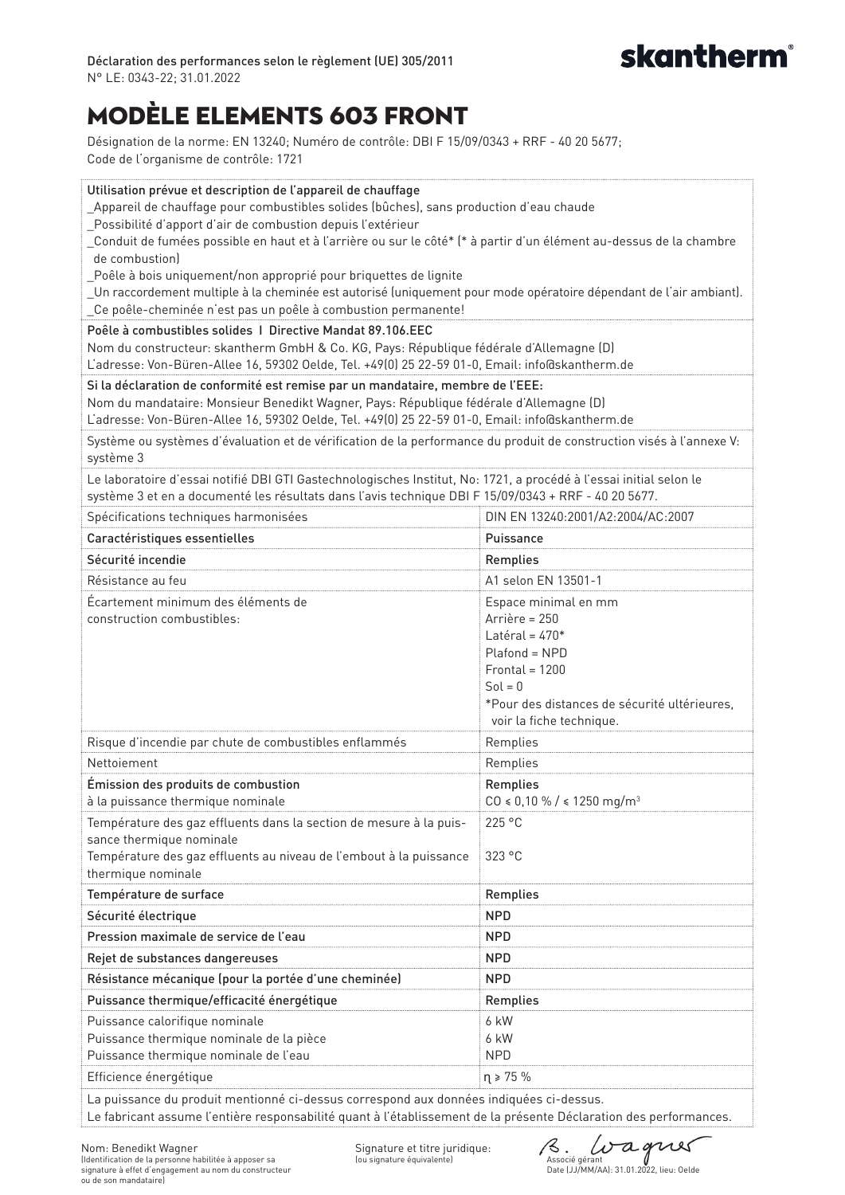

# ModÈle elements 603 Front

Désignation de la norme: EN 13240; Numéro de contrôle: DBI F 15/09/0343 + RRF - 40 20 5677; Code de l'organisme de contrôle: 1721

| Utilisation prévue et description de l'appareil de chauffage<br>_Appareil de chauffage pour combustibles solides (bûches), sans production d'eau chaude<br>Possibilité d'apport d'air de combustion depuis l'extérieur<br>_Conduit de fumées possible en haut et à l'arrière ou sur le côté* (* à partir d'un élément au-dessus de la chambre<br>de combustion)<br>Poêle à bois uniquement/non approprié pour briquettes de lignite<br>_Un raccordement multiple à la cheminée est autorisé (uniquement pour mode opératoire dépendant de l'air ambiant).<br>_Ce poêle-cheminée n'est pas un poêle à combustion permanente! |                                                                                                                                                                                         |  |
|-----------------------------------------------------------------------------------------------------------------------------------------------------------------------------------------------------------------------------------------------------------------------------------------------------------------------------------------------------------------------------------------------------------------------------------------------------------------------------------------------------------------------------------------------------------------------------------------------------------------------------|-----------------------------------------------------------------------------------------------------------------------------------------------------------------------------------------|--|
| Poêle à combustibles solides   Directive Mandat 89.106.EEC<br>Nom du constructeur: skantherm GmbH & Co. KG, Pays: République fédérale d'Allemagne (D)<br>L'adresse: Von-Büren-Allee 16, 59302 Oelde, Tel. +49(0) 25 22-59 01-0, Email: info@skantherm.de                                                                                                                                                                                                                                                                                                                                                                    |                                                                                                                                                                                         |  |
| Si la déclaration de conformité est remise par un mandataire, membre de l'EEE:<br>Nom du mandataire: Monsieur Benedikt Wagner, Pays: République fédérale d'Allemagne (D)<br>L'adresse: Von-Büren-Allee 16, 59302 Oelde, Tel. +49(0) 25 22-59 01-0, Email: info@skantherm.de<br>Système ou systèmes d'évaluation et de vérification de la performance du produit de construction visés à l'annexe V:                                                                                                                                                                                                                         |                                                                                                                                                                                         |  |
| système 3                                                                                                                                                                                                                                                                                                                                                                                                                                                                                                                                                                                                                   |                                                                                                                                                                                         |  |
| Le laboratoire d'essai notifié DBI GTI Gastechnologisches Institut, No: 1721, a procédé à l'essai initial selon le<br>système 3 et en a documenté les résultats dans l'avis technique DBI F 15/09/0343 + RRF - 40 20 5677.                                                                                                                                                                                                                                                                                                                                                                                                  |                                                                                                                                                                                         |  |
| Spécifications techniques harmonisées                                                                                                                                                                                                                                                                                                                                                                                                                                                                                                                                                                                       | DIN EN 13240:2001/A2:2004/AC:2007                                                                                                                                                       |  |
| Caractéristiques essentielles                                                                                                                                                                                                                                                                                                                                                                                                                                                                                                                                                                                               | Puissance                                                                                                                                                                               |  |
| Sécurité incendie                                                                                                                                                                                                                                                                                                                                                                                                                                                                                                                                                                                                           | Remplies                                                                                                                                                                                |  |
| Résistance au feu                                                                                                                                                                                                                                                                                                                                                                                                                                                                                                                                                                                                           | A1 selon EN 13501-1                                                                                                                                                                     |  |
| Écartement minimum des éléments de<br>construction combustibles:                                                                                                                                                                                                                                                                                                                                                                                                                                                                                                                                                            | Espace minimal en mm<br>Arrière = 250<br>Latéral = $470*$<br>Plafond = NPD<br>$Frontal = 1200$<br>$Sol = 0$<br>*Pour des distances de sécurité ultérieures,<br>voir la fiche technique. |  |
| Risque d'incendie par chute de combustibles enflammés                                                                                                                                                                                                                                                                                                                                                                                                                                                                                                                                                                       | Remplies                                                                                                                                                                                |  |
| Nettoiement                                                                                                                                                                                                                                                                                                                                                                                                                                                                                                                                                                                                                 | Remplies                                                                                                                                                                                |  |
| Émission des produits de combustion                                                                                                                                                                                                                                                                                                                                                                                                                                                                                                                                                                                         | Remplies                                                                                                                                                                                |  |
| à la puissance thermique nominale                                                                                                                                                                                                                                                                                                                                                                                                                                                                                                                                                                                           | $CO \le 0.10 \% / \le 1250 mg/m^3$                                                                                                                                                      |  |
| Température des gaz effluents dans la section de mesure à la puis-<br>sance thermique nominale<br>Température des gaz effluents au niveau de l'embout à la puissance<br>thermique nominale                                                                                                                                                                                                                                                                                                                                                                                                                                  | 225 °C<br>323 °C                                                                                                                                                                        |  |
| Température de surface                                                                                                                                                                                                                                                                                                                                                                                                                                                                                                                                                                                                      | Remplies                                                                                                                                                                                |  |
| Sécurité électrique                                                                                                                                                                                                                                                                                                                                                                                                                                                                                                                                                                                                         | <b>NPD</b>                                                                                                                                                                              |  |
| Pression maximale de service de l'eau                                                                                                                                                                                                                                                                                                                                                                                                                                                                                                                                                                                       | <b>NPD</b>                                                                                                                                                                              |  |
| Rejet de substances dangereuses                                                                                                                                                                                                                                                                                                                                                                                                                                                                                                                                                                                             | <b>NPD</b>                                                                                                                                                                              |  |
| Résistance mécanique (pour la portée d'une cheminée)                                                                                                                                                                                                                                                                                                                                                                                                                                                                                                                                                                        | <b>NPD</b>                                                                                                                                                                              |  |
| Puissance thermique/efficacité énergétique                                                                                                                                                                                                                                                                                                                                                                                                                                                                                                                                                                                  | Remplies                                                                                                                                                                                |  |
| Puissance calorifique nominale<br>Puissance thermique nominale de la pièce<br>Puissance thermique nominale de l'eau                                                                                                                                                                                                                                                                                                                                                                                                                                                                                                         | 6 kW<br>6 kW<br><b>NPD</b>                                                                                                                                                              |  |
| Efficience énergétique<br>$\eta \ge 75\%$                                                                                                                                                                                                                                                                                                                                                                                                                                                                                                                                                                                   |                                                                                                                                                                                         |  |
| La nuissance du produit mentionné ci-dessus correspond aux données indiquées ci-dessus                                                                                                                                                                                                                                                                                                                                                                                                                                                                                                                                      |                                                                                                                                                                                         |  |

ince du produit mentionné ci-dessus correspond aux données indiquées ci-dessus. Le fabricant assume l'entière responsabilité quant à l'établissement de la présente Déclaration des performances.

Signature et titre juridique: (ou signature équivalente)

8. Lua gruer<br>Associé gérant<br>Date (JJ/MM/AA): 31.01.2022, lieu: Oelde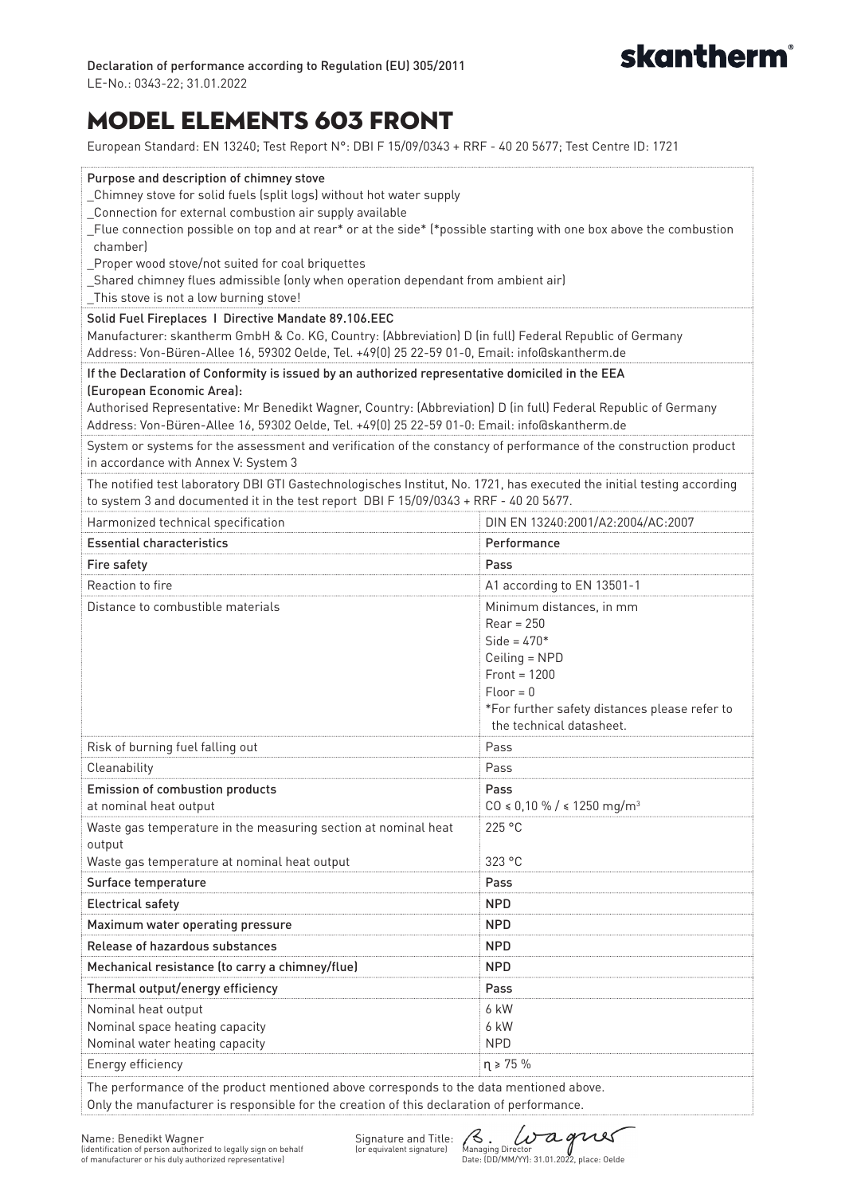

## Model elements 603 Front

European Standard: EN 13240; Test Report N°: DBI F 15/09/0343 + RRF - 40 20 5677; Test Centre ID: 1721

| Purpose and description of chimney stove<br>Chimney stove for solid fuels (split logs) without hot water supply<br>Connection for external combustion air supply available<br>_Flue connection possible on top and at rear* or at the side* (*possible starting with one box above the combustion<br>chamberl<br>Proper wood stove/not suited for coal briquettes<br>_Shared chimney flues admissible (only when operation dependant from ambient air)<br>_This stove is not a low burning stove!<br>Solid Fuel Fireplaces   Directive Mandate 89.106.EEC |                                                                                                                                                                                          |  |
|-----------------------------------------------------------------------------------------------------------------------------------------------------------------------------------------------------------------------------------------------------------------------------------------------------------------------------------------------------------------------------------------------------------------------------------------------------------------------------------------------------------------------------------------------------------|------------------------------------------------------------------------------------------------------------------------------------------------------------------------------------------|--|
| Manufacturer: skantherm GmbH & Co. KG, Country: (Abbreviation) D (in full) Federal Republic of Germany<br>Address: Von-Büren-Allee 16, 59302 Oelde, Tel. +49(0) 25 22-59 01-0, Email: info@skantherm.de                                                                                                                                                                                                                                                                                                                                                   |                                                                                                                                                                                          |  |
| If the Declaration of Conformity is issued by an authorized representative domiciled in the EEA<br>(European Economic Area):<br>Authorised Representative: Mr Benedikt Wagner, Country: (Abbreviation) D (in full) Federal Republic of Germany<br>Address: Von-Büren-Allee 16, 59302 Oelde, Tel. +49(0) 25 22-59 01-0: Email: info@skantherm.de                                                                                                                                                                                                           |                                                                                                                                                                                          |  |
| System or systems for the assessment and verification of the constancy of performance of the construction product<br>in accordance with Annex V: System 3                                                                                                                                                                                                                                                                                                                                                                                                 |                                                                                                                                                                                          |  |
| The notified test laboratory DBI GTI Gastechnologisches Institut, No. 1721, has executed the initial testing according<br>to system 3 and documented it in the test report DBI F 15/09/0343 + RRF - 40 20 5677.                                                                                                                                                                                                                                                                                                                                           |                                                                                                                                                                                          |  |
| Harmonized technical specification                                                                                                                                                                                                                                                                                                                                                                                                                                                                                                                        | DIN EN 13240:2001/A2:2004/AC:2007                                                                                                                                                        |  |
| <b>Essential characteristics</b>                                                                                                                                                                                                                                                                                                                                                                                                                                                                                                                          | Performance                                                                                                                                                                              |  |
| Fire safety                                                                                                                                                                                                                                                                                                                                                                                                                                                                                                                                               | Pass                                                                                                                                                                                     |  |
| Reaction to fire                                                                                                                                                                                                                                                                                                                                                                                                                                                                                                                                          | A1 according to EN 13501-1                                                                                                                                                               |  |
| Distance to combustible materials                                                                                                                                                                                                                                                                                                                                                                                                                                                                                                                         | Minimum distances, in mm<br>$Rear = 250$<br>$Side = 470*$<br>Ceiling = NPD<br>$Front = 1200$<br>$Floor = 0$<br>*For further safety distances please refer to<br>the technical datasheet. |  |
| Risk of burning fuel falling out                                                                                                                                                                                                                                                                                                                                                                                                                                                                                                                          | Pass                                                                                                                                                                                     |  |
| Cleanability                                                                                                                                                                                                                                                                                                                                                                                                                                                                                                                                              | Pass                                                                                                                                                                                     |  |
| Emission of combustion products                                                                                                                                                                                                                                                                                                                                                                                                                                                                                                                           | Pass                                                                                                                                                                                     |  |
| at nominal heat output                                                                                                                                                                                                                                                                                                                                                                                                                                                                                                                                    | $CO \le 0,10 \%$ / $\le 1250$ mg/m <sup>3</sup>                                                                                                                                          |  |
| Waste gas temperature in the measuring section at nominal heat<br>output<br>Waste gas temperature at nominal heat output                                                                                                                                                                                                                                                                                                                                                                                                                                  | 225 °C<br>323 °C                                                                                                                                                                         |  |
| Surface temperature                                                                                                                                                                                                                                                                                                                                                                                                                                                                                                                                       | Pass                                                                                                                                                                                     |  |
| <b>Electrical safety</b>                                                                                                                                                                                                                                                                                                                                                                                                                                                                                                                                  | <b>NPD</b>                                                                                                                                                                               |  |
| Maximum water operating pressure                                                                                                                                                                                                                                                                                                                                                                                                                                                                                                                          | <b>NPD</b>                                                                                                                                                                               |  |
| Release of hazardous substances                                                                                                                                                                                                                                                                                                                                                                                                                                                                                                                           | NPD.                                                                                                                                                                                     |  |
| Mechanical resistance (to carry a chimney/flue)                                                                                                                                                                                                                                                                                                                                                                                                                                                                                                           | <b>NPD</b>                                                                                                                                                                               |  |
| Thermal output/energy efficiency                                                                                                                                                                                                                                                                                                                                                                                                                                                                                                                          | Pass                                                                                                                                                                                     |  |
| Nominal heat output                                                                                                                                                                                                                                                                                                                                                                                                                                                                                                                                       | 6 kW                                                                                                                                                                                     |  |
| Nominal space heating capacity                                                                                                                                                                                                                                                                                                                                                                                                                                                                                                                            | 6 kW                                                                                                                                                                                     |  |
| Nominal water heating capacity                                                                                                                                                                                                                                                                                                                                                                                                                                                                                                                            | <b>NPD</b>                                                                                                                                                                               |  |
| Energy efficiency                                                                                                                                                                                                                                                                                                                                                                                                                                                                                                                                         | $\eta \ge 75\%$                                                                                                                                                                          |  |
| The performance of the product mentioned above corresponds to the data mentioned above.<br>Only the manufacturer is responsible for the creation of this declaration of performance.                                                                                                                                                                                                                                                                                                                                                                      |                                                                                                                                                                                          |  |

Name: Benedikt Wagner (identification of person authorized to legally sign on behalf of manufacturer or his duly authorized representative)

Signature and Title: (S. UTA OUS)<br>(or equivalent signature) Managing Director<br>Date: (DD/MM/YY): 31.01.2022, place: Oelde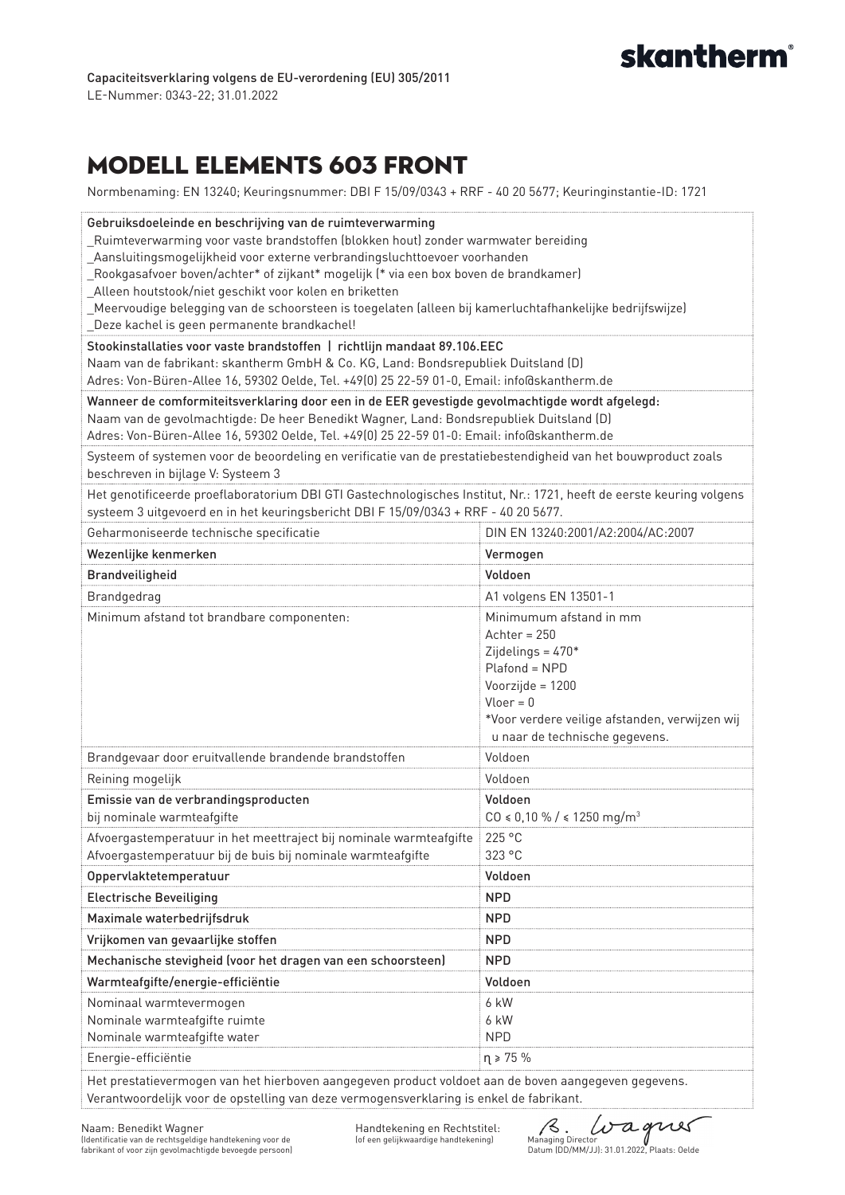

### Modell elements 603 Front

Normbenaming: EN 13240; Keuringsnummer: DBI F 15/09/0343 + RRF - 40 20 5677; Keuringinstantie-ID: 1721

| Gebruiksdoeleinde en beschrijving van de ruimteverwarming<br>_Ruimteverwarming voor vaste brandstoffen (blokken hout) zonder warmwater bereiding<br>_Aansluitingsmogelijkheid voor externe verbrandingsluchttoevoer voorhanden<br>_Rookgasafvoer boven/achter* of zijkant* mogelijk (* via een box boven de brandkamer)<br>_Alleen houtstook/niet geschikt voor kolen en briketten<br>_Meervoudige belegging van de schoorsteen is toegelaten (alleen bij kamerluchtafhankelijke bedrijfswijze)<br>Deze kachel is geen permanente brandkachel!<br>Stookinstallaties voor vaste brandstoffen   richtlijn mandaat 89.106.EEC |                                                                                                                                                                                                          |  |
|----------------------------------------------------------------------------------------------------------------------------------------------------------------------------------------------------------------------------------------------------------------------------------------------------------------------------------------------------------------------------------------------------------------------------------------------------------------------------------------------------------------------------------------------------------------------------------------------------------------------------|----------------------------------------------------------------------------------------------------------------------------------------------------------------------------------------------------------|--|
| Naam van de fabrikant: skantherm GmbH & Co. KG, Land: Bondsrepubliek Duitsland (D)<br>Adres: Von-Büren-Allee 16, 59302 Oelde, Tel. +49(0) 25 22-59 01-0, Email: info@skantherm.de                                                                                                                                                                                                                                                                                                                                                                                                                                          |                                                                                                                                                                                                          |  |
| Wanneer de comformiteitsverklaring door een in de EER gevestigde gevolmachtigde wordt afgelegd:<br>Naam van de gevolmachtigde: De heer Benedikt Wagner, Land: Bondsrepubliek Duitsland (D)<br>Adres: Von-Büren-Allee 16, 59302 Oelde, Tel. +49(0) 25 22-59 01-0: Email: info@skantherm.de                                                                                                                                                                                                                                                                                                                                  |                                                                                                                                                                                                          |  |
| Systeem of systemen voor de beoordeling en verificatie van de prestatiebestendigheid van het bouwproduct zoals<br>beschreven in bijlage V: Systeem 3                                                                                                                                                                                                                                                                                                                                                                                                                                                                       |                                                                                                                                                                                                          |  |
| Het genotificeerde proeflaboratorium DBI GTI Gastechnologisches Institut, Nr.: 1721, heeft de eerste keuring volgens<br>systeem 3 uitgevoerd en in het keuringsbericht DBI F 15/09/0343 + RRF - 40 20 5677.                                                                                                                                                                                                                                                                                                                                                                                                                |                                                                                                                                                                                                          |  |
| Geharmoniseerde technische specificatie                                                                                                                                                                                                                                                                                                                                                                                                                                                                                                                                                                                    | DIN EN 13240:2001/A2:2004/AC:2007                                                                                                                                                                        |  |
| Wezenlijke kenmerken                                                                                                                                                                                                                                                                                                                                                                                                                                                                                                                                                                                                       | Vermogen                                                                                                                                                                                                 |  |
| Brandveiligheid                                                                                                                                                                                                                                                                                                                                                                                                                                                                                                                                                                                                            | Voldoen                                                                                                                                                                                                  |  |
| <b>Brandgedrag</b>                                                                                                                                                                                                                                                                                                                                                                                                                                                                                                                                                                                                         | A1 volgens EN 13501-1                                                                                                                                                                                    |  |
| Minimum afstand tot brandbare componenten:                                                                                                                                                                                                                                                                                                                                                                                                                                                                                                                                                                                 | Minimumum afstand in mm<br>Achter = $250$<br>Zijdelings = $470*$<br>Plafond = NPD<br>Voorzijde = 1200<br>$Vloer = 0$<br>*Voor verdere veilige afstanden, verwijzen wij<br>u naar de technische gegevens. |  |
| Brandgevaar door eruitvallende brandende brandstoffen                                                                                                                                                                                                                                                                                                                                                                                                                                                                                                                                                                      | Voldoen                                                                                                                                                                                                  |  |
| Reining mogelijk                                                                                                                                                                                                                                                                                                                                                                                                                                                                                                                                                                                                           | Voldoen                                                                                                                                                                                                  |  |
| Emissie van de verbrandingsproducten<br>bij nominale warmteafgifte                                                                                                                                                                                                                                                                                                                                                                                                                                                                                                                                                         | Voldoen<br>$CO \le 0,10\% / \le 1250$ mg/m <sup>3</sup>                                                                                                                                                  |  |
| Afvoergastemperatuur in het meettraject bij nominale warmteafgifte<br>Afvoergastemperatuur bij de buis bij nominale warmteafgifte                                                                                                                                                                                                                                                                                                                                                                                                                                                                                          | 225 °C<br>323 °C                                                                                                                                                                                         |  |
| Oppervlaktetemperatuur                                                                                                                                                                                                                                                                                                                                                                                                                                                                                                                                                                                                     | Voldoen                                                                                                                                                                                                  |  |
| <b>Electrische Beveiliging</b>                                                                                                                                                                                                                                                                                                                                                                                                                                                                                                                                                                                             | <b>NPD</b>                                                                                                                                                                                               |  |
| Maximale waterbedrijfsdruk                                                                                                                                                                                                                                                                                                                                                                                                                                                                                                                                                                                                 | <b>NPD</b>                                                                                                                                                                                               |  |
| Vrijkomen van gevaarlijke stoffen                                                                                                                                                                                                                                                                                                                                                                                                                                                                                                                                                                                          | <b>NPD</b>                                                                                                                                                                                               |  |
| Mechanische stevigheid (voor het dragen van een schoorsteen)                                                                                                                                                                                                                                                                                                                                                                                                                                                                                                                                                               | <b>NPD</b>                                                                                                                                                                                               |  |
| Warmteafgifte/energie-efficiëntie                                                                                                                                                                                                                                                                                                                                                                                                                                                                                                                                                                                          | Voldoen                                                                                                                                                                                                  |  |
| Nominaal warmtevermogen<br>Nominale warmteafgifte ruimte<br>Nominale warmteafgifte water                                                                                                                                                                                                                                                                                                                                                                                                                                                                                                                                   | 6 kW<br>6 kW<br><b>NPD</b>                                                                                                                                                                               |  |
| Energie-efficiëntie                                                                                                                                                                                                                                                                                                                                                                                                                                                                                                                                                                                                        | $\eta \ge 75 \%$                                                                                                                                                                                         |  |
| Het prestatievermogen van het hierhoven aangegeven product voldoet aan de hoven aa                                                                                                                                                                                                                                                                                                                                                                                                                                                                                                                                         |                                                                                                                                                                                                          |  |

Het prestatievermogen van het hierboven aangegeven product voldoet aan de boven aangegeven gegevens. Verantwoordelijk voor de opstelling van deze vermogensverklaring is enkel de fabrikant.

R. *Dagues*<br>Managing Director<br>Datum (DD/MM/JJ): 31.01.2022, Plaats: Oelde